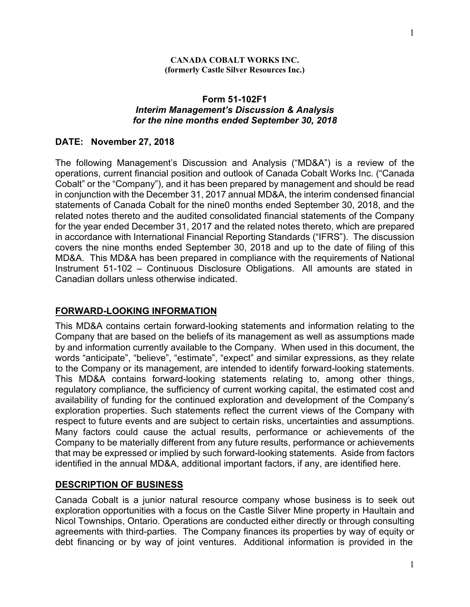#### **CANADA COBALT WORKS INC. (formerly Castle Silver Resources Inc.)**

#### **Form 51-102F1** *Interim Management's Discussion & Analysis for the nine months ended September 30, 2018*

#### **DATE: November 27, 2018**

The following Management's Discussion and Analysis ("MD&A") is a review of the operations, current financial position and outlook of Canada Cobalt Works Inc. ("Canada Cobalt" or the "Company"), and it has been prepared by management and should be read in conjunction with the December 31, 2017 annual MD&A, the interim condensed financial statements of Canada Cobalt for the nine0 months ended September 30, 2018, and the related notes thereto and the audited consolidated financial statements of the Company for the year ended December 31, 2017 and the related notes thereto, which are prepared in accordance with International Financial Reporting Standards ("IFRS"). The discussion covers the nine months ended September 30, 2018 and up to the date of filing of this MD&A. This MD&A has been prepared in compliance with the requirements of National Instrument 51-102 – Continuous Disclosure Obligations. All amounts are stated in Canadian dollars unless otherwise indicated.

### **FORWARD-LOOKING INFORMATION**

This MD&A contains certain forward-looking statements and information relating to the Company that are based on the beliefs of its management as well as assumptions made by and information currently available to the Company. When used in this document, the words "anticipate", "believe", "estimate", "expect" and similar expressions, as they relate to the Company or its management, are intended to identify forward-looking statements. This MD&A contains forward-looking statements relating to, among other things, regulatory compliance, the sufficiency of current working capital, the estimated cost and availability of funding for the continued exploration and development of the Company's exploration properties. Such statements reflect the current views of the Company with respect to future events and are subject to certain risks, uncertainties and assumptions. Many factors could cause the actual results, performance or achievements of the Company to be materially different from any future results, performance or achievements that may be expressed or implied by such forward-looking statements. Aside from factors identified in the annual MD&A, additional important factors, if any, are identified here.

### **DESCRIPTION OF BUSINESS**

Canada Cobalt is a junior natural resource company whose business is to seek out exploration opportunities with a focus on the Castle Silver Mine property in Haultain and Nicol Townships, Ontario. Operations are conducted either directly or through consulting agreements with third-parties. The Company finances its properties by way of equity or debt financing or by way of joint ventures. Additional information is provided in the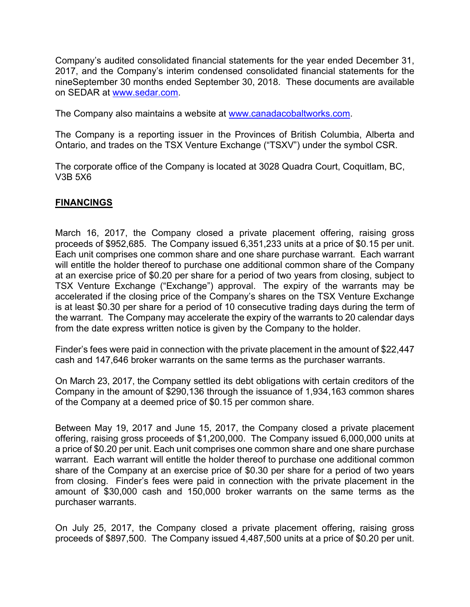Company's audited consolidated financial statements for the year ended December 31, 2017, and the Company's interim condensed consolidated financial statements for the nineSeptember 30 months ended September 30, 2018. These documents are available on SEDAR at www.sedar.com.

The Company also maintains a website at www.canadacobaltworks.com.

The Company is a reporting issuer in the Provinces of British Columbia, Alberta and Ontario, and trades on the TSX Venture Exchange ("TSXV") under the symbol CSR.

The corporate office of the Company is located at 3028 Quadra Court, Coquitlam, BC, V3B 5X6

### **FINANCINGS**

March 16, 2017, the Company closed a private placement offering, raising gross proceeds of \$952,685. The Company issued 6,351,233 units at a price of \$0.15 per unit. Each unit comprises one common share and one share purchase warrant. Each warrant will entitle the holder thereof to purchase one additional common share of the Company at an exercise price of \$0.20 per share for a period of two years from closing, subject to TSX Venture Exchange ("Exchange") approval. The expiry of the warrants may be accelerated if the closing price of the Company's shares on the TSX Venture Exchange is at least \$0.30 per share for a period of 10 consecutive trading days during the term of the warrant. The Company may accelerate the expiry of the warrants to 20 calendar days from the date express written notice is given by the Company to the holder.

Finder's fees were paid in connection with the private placement in the amount of \$22,447 cash and 147,646 broker warrants on the same terms as the purchaser warrants.

On March 23, 2017, the Company settled its debt obligations with certain creditors of the Company in the amount of \$290,136 through the issuance of 1,934,163 common shares of the Company at a deemed price of \$0.15 per common share.

Between May 19, 2017 and June 15, 2017, the Company closed a private placement offering, raising gross proceeds of \$1,200,000. The Company issued 6,000,000 units at a price of \$0.20 per unit. Each unit comprises one common share and one share purchase warrant. Each warrant will entitle the holder thereof to purchase one additional common share of the Company at an exercise price of \$0.30 per share for a period of two years from closing. Finder's fees were paid in connection with the private placement in the amount of \$30,000 cash and 150,000 broker warrants on the same terms as the purchaser warrants.

On July 25, 2017, the Company closed a private placement offering, raising gross proceeds of \$897,500. The Company issued 4,487,500 units at a price of \$0.20 per unit.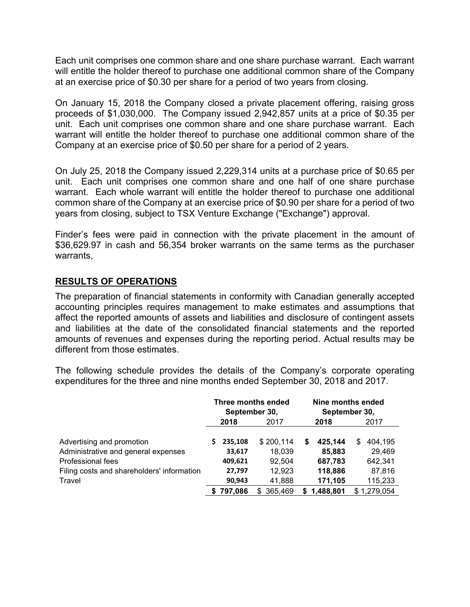Each unit comprises one common share and one share purchase warrant. Each warrant will entitle the holder thereof to purchase one additional common share of the Company at an exercise price of \$0.30 per share for a period of two years from closing.

On January 15, 2018 the Company closed a private placement offering, raising gross proceeds of \$1,030,000. The Company issued 2,942,857 units at a price of \$0.35 per unit. Each unit comprises one common share and one share purchase warrant. Each warrant will entitle the holder thereof to purchase one additional common share of the Company at an exercise price of \$0.50 per share for a period of 2 years.

On July 25, 2018 the Company issued 2,229,314 units at a purchase price of \$0.65 per unit. Each unit comprises one common share and one half of one share purchase warrant. Each whole warrant will entitle the holder thereof to purchase one additional common share of the Company at an exercise price of \$0.90 per share for a period of two years from closing, subject to TSX Venture Exchange ("Exchange") approval.

Finder's fees were paid in connection with the private placement in the amount of \$36,629.97 in cash and 56,354 broker warrants on the same terms as the purchaser warrants,

## **RESULTS OF OPERATIONS**

The preparation of financial statements in conformity with Canadian generally accepted accounting principles requires management to make estimates and assumptions that affect the reported amounts of assets and liabilities and disclosure of contingent assets and liabilities at the date of the consolidated financial statements and the reported amounts of revenues and expenses during the reporting period. Actual results may be different from those estimates.

The following schedule provides the details of the Company's corporate operating expenditures for the three and nine months ended September 30, 2018 and 2017.

|                                            | Three months ended<br>September 30, |           |           | Nine months ended<br>September 30, |             |   |             |  |
|--------------------------------------------|-------------------------------------|-----------|-----------|------------------------------------|-------------|---|-------------|--|
|                                            | 2018                                |           | 2017      |                                    | 2018        |   | 2017        |  |
| Advertising and promotion                  |                                     | 235,108   | \$200,114 | S                                  | 425.144     | S | 404.195     |  |
| Administrative and general expenses        |                                     | 33,617    | 18,039    |                                    | 85,883      |   | 29,469      |  |
| Professional fees                          |                                     | 409,621   | 92.504    |                                    | 687,783     |   | 642,341     |  |
| Filing costs and shareholders' information |                                     | 27,797    | 12.923    |                                    | 118,886     |   | 87,816      |  |
| Travel                                     |                                     | 90,943    | 41,888    |                                    | 171,105     |   | 115,233     |  |
|                                            |                                     | \$797.086 | \$365,469 |                                    | \$1,488,801 |   | \$1,279,054 |  |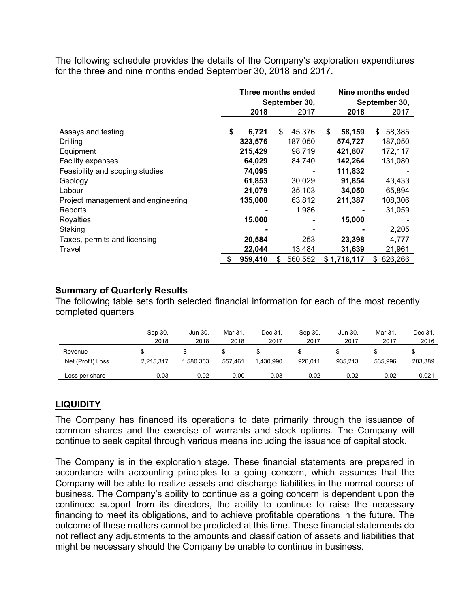The following schedule provides the details of the Company's exploration expenditures for the three and nine months ended September 30, 2018 and 2017.

|                                    | Three months ended<br>September 30, |               |    | Nine months ended<br>September 30, |               |  |
|------------------------------------|-------------------------------------|---------------|----|------------------------------------|---------------|--|
|                                    | 2018                                | 2017          |    | 2018                               | 2017          |  |
| Assays and testing                 | \$<br>6,721                         | \$<br>45,376  | \$ | 58,159                             | 58,385<br>\$  |  |
| <b>Drilling</b>                    | 323,576                             | 187,050       |    | 574,727                            | 187,050       |  |
| Equipment                          | 215,429                             | 98,719        |    | 421,807                            | 172,117       |  |
| Facility expenses                  | 64,029                              | 84,740        |    | 142,264                            | 131,080       |  |
| Feasibility and scoping studies    | 74,095                              |               |    | 111,832                            |               |  |
| Geology                            | 61,853                              | 30,029        |    | 91,854                             | 43,433        |  |
| Labour                             | 21,079                              | 35,103        |    | 34,050                             | 65,894        |  |
| Project management and engineering | 135,000                             | 63,812        |    | 211,387                            | 108,306       |  |
| Reports                            |                                     | 1,986         |    |                                    | 31,059        |  |
| Royalties                          | 15,000                              |               |    | 15,000                             |               |  |
| Staking                            |                                     |               |    |                                    | 2,205         |  |
| Taxes, permits and licensing       | 20,584                              | 253           |    | 23,398                             | 4,777         |  |
| Travel                             | 22,044                              | 13,484        |    | 31,639                             | 21,961        |  |
|                                    | \$<br>959,410                       | 560,552<br>\$ |    | \$1,716,117                        | 826,266<br>\$ |  |

### **Summary of Quarterly Results**

The following table sets forth selected financial information for each of the most recently completed quarters

|                   | Sep 30.<br>2018          | Jun 30.<br>2018          | Mar 31.<br>2018 | Dec 31.<br>2017 | Sep 30.<br>2017          | Jun 30.<br>2017 | Mar 31.<br>2017          | Dec 31,<br>2016 |
|-------------------|--------------------------|--------------------------|-----------------|-----------------|--------------------------|-----------------|--------------------------|-----------------|
| Revenue           | $\overline{\phantom{0}}$ | $\overline{\phantom{a}}$ | ٠               |                 | $\overline{\phantom{a}}$ |                 | $\overline{\phantom{a}}$ |                 |
| Net (Profit) Loss | 2.215.317                | 1.580.353                | 557.461         | 1.430.990       | 926.011                  | 935.213         | 535.996                  | 283,389         |
| Loss per share    | 0.03                     | 0.02                     | 0.00            | 0.03            | 0.02                     | 0.02            | 0.02                     | 0.021           |

### **LIQUIDITY**

The Company has financed its operations to date primarily through the issuance of common shares and the exercise of warrants and stock options. The Company will continue to seek capital through various means including the issuance of capital stock.

The Company is in the exploration stage. These financial statements are prepared in accordance with accounting principles to a going concern, which assumes that the Company will be able to realize assets and discharge liabilities in the normal course of business. The Company's ability to continue as a going concern is dependent upon the continued support from its directors, the ability to continue to raise the necessary financing to meet its obligations, and to achieve profitable operations in the future. The outcome of these matters cannot be predicted at this time. These financial statements do not reflect any adjustments to the amounts and classification of assets and liabilities that might be necessary should the Company be unable to continue in business.